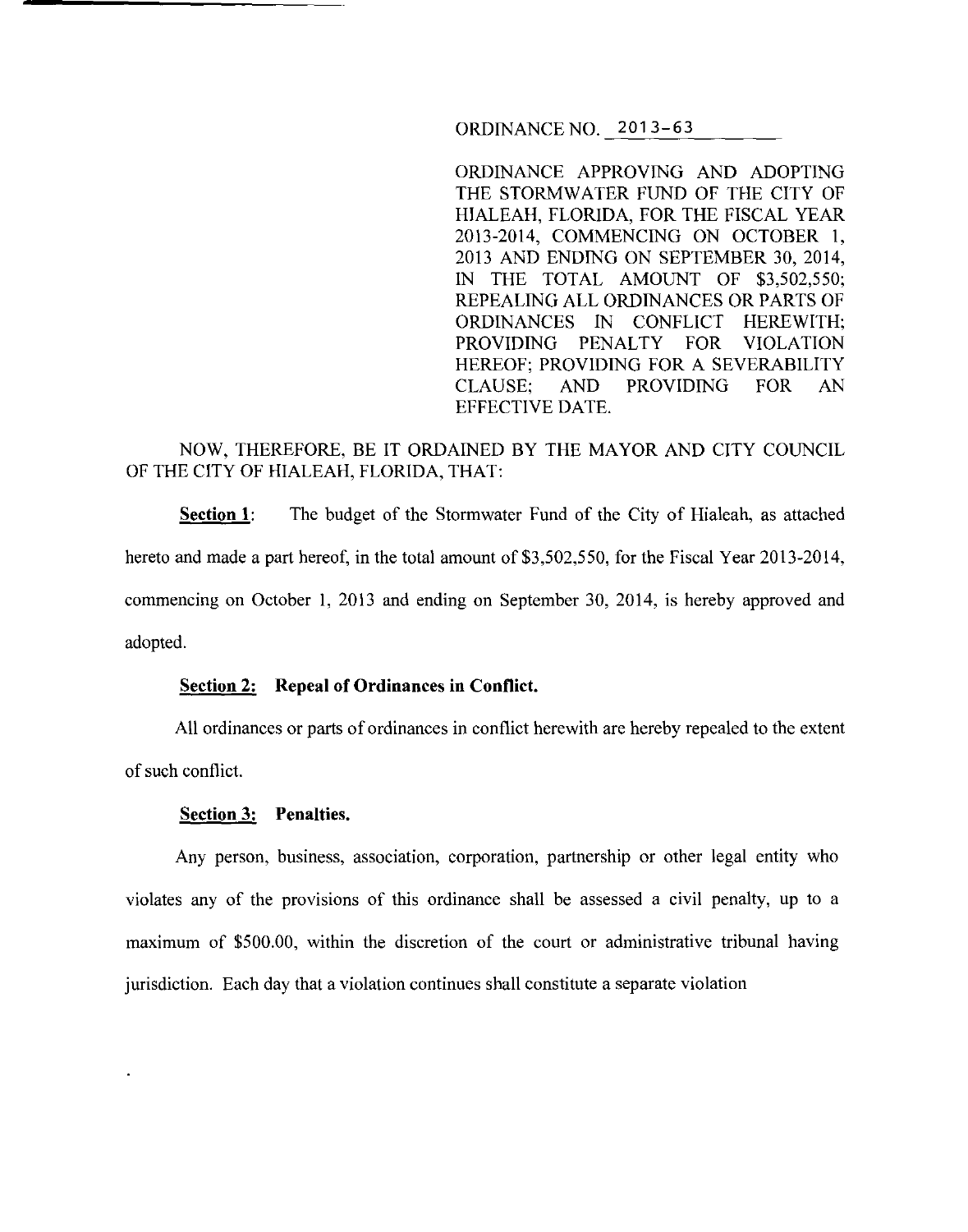ORDINANCE NO. 2013-63

ORDINANCE APPROVING AND ADOPTING THE STORMWATER FUND OF THE CITY OF HIALEAH, FLORIDA, FOR THE FISCAL YEAR 2013-2014, COMMENCING ON OCTOBER I, 2013 AND ENDING ON SEPTEMBER 30, 2014, IN THE TOTAL AMOUNT OF \$3,502,550; REPEALING ALL ORDINANCES OR PARTS OF ORDINANCES IN CONFLICT HEREWITH; PROVIDING PENALTY FOR VIOLATION HEREOF; PROVIDING FOR A SEVERABILITY CLAUSE; AND PROVIDING FOR AN EFFECTIVE DATE.

# NOW, THEREFORE, BE IT ORDAINED BY THE MAYOR AND CITY COUNCIL OF THE CITY OF HIALEAH, FLORIDA, THAT:

**Section 1:** The budget of the Stormwater Fund of the City of Hialeah, as attached hereto and made a part hereof, in the total amount of \$3,502,550, for the Fiscal Year 2013-2014, commencing on October 1, 2013 and ending on September 30, 2014, is hereby approved and adopted.

### **Section 2: Repeal of Ordinances in Conflict.**

All ordinances or parts of ordinances in conflict herewith are hereby repealed to the extent of such conflict.

#### **Section 3: Penalties.**

Any person, business, association, corporation, partnership or other legal entity who violates any of the provisions of this ordinance shall be assessed a civil penalty, up to a maximum of \$500.00, within the discretion of the court or administrative tribunal having jurisdiction. Each day that a violation continues shall constitute a separate violation